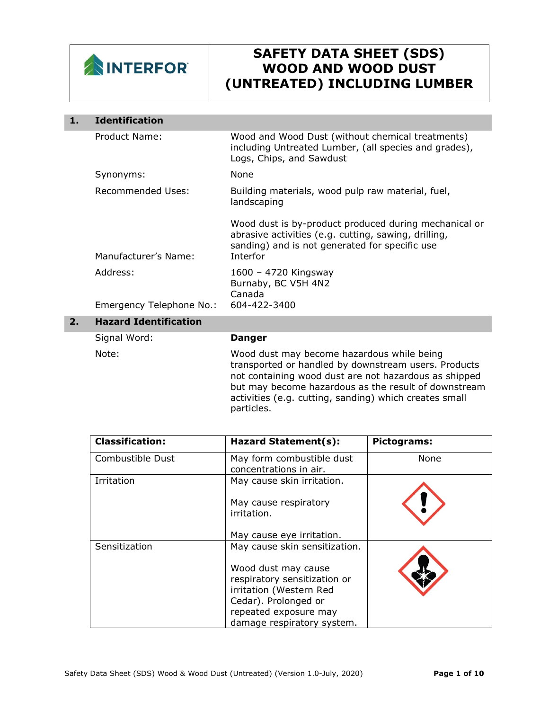

I

## **SAFETY DATA SHEET (SDS) WOOD AND WOOD DUST (UNTREATED) INCLUDING LUMBER**

activities (e.g. cutting, sanding) which creates small

| 1. | <b>Identification</b>        |                                                                                                                                                                                                                     |
|----|------------------------------|---------------------------------------------------------------------------------------------------------------------------------------------------------------------------------------------------------------------|
|    | Product Name:                | Wood and Wood Dust (without chemical treatments)<br>including Untreated Lumber, (all species and grades),<br>Logs, Chips, and Sawdust                                                                               |
|    | Synonyms:                    | None                                                                                                                                                                                                                |
|    | <b>Recommended Uses:</b>     | Building materials, wood pulp raw material, fuel,<br>landscaping                                                                                                                                                    |
|    | Manufacturer's Name:         | Wood dust is by-product produced during mechanical or<br>abrasive activities (e.g. cutting, sawing, drilling,<br>sanding) and is not generated for specific use<br>Interfor                                         |
|    | Address:                     | 1600 - 4720 Kingsway<br>Burnaby, BC V5H 4N2<br>Canada                                                                                                                                                               |
|    | Emergency Telephone No.:     | 604-422-3400                                                                                                                                                                                                        |
| 2. | <b>Hazard Identification</b> |                                                                                                                                                                                                                     |
|    | Signal Word:                 | <b>Danger</b>                                                                                                                                                                                                       |
|    | Note:                        | Wood dust may become hazardous while being<br>transported or handled by downstream users. Products<br>not containing wood dust are not hazardous as shipped<br>but may become hazardous as the result of downstream |

particles.

| <b>Classification:</b> | Hazard Statement(s):                                | Pictograms: |
|------------------------|-----------------------------------------------------|-------------|
| Combustible Dust       | May form combustible dust<br>concentrations in air. | None        |
| Irritation             | May cause skin irritation.                          |             |
|                        | May cause respiratory<br>irritation.                |             |
|                        | May cause eye irritation.                           |             |
| Sensitization          | May cause skin sensitization.                       |             |
|                        | Wood dust may cause                                 |             |
|                        | respiratory sensitization or                        |             |
|                        | irritation (Western Red                             |             |
|                        | Cedar). Prolonged or                                |             |
|                        | repeated exposure may                               |             |
|                        | damage respiratory system.                          |             |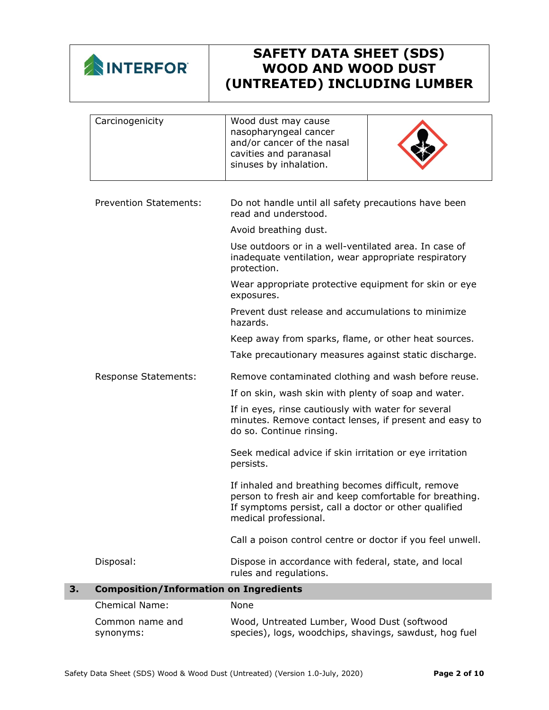

| 3. | <b>Composition/Information on Ingredients</b><br><b>Chemical Name:</b> | None                                                                                                                                                                                            |
|----|------------------------------------------------------------------------|-------------------------------------------------------------------------------------------------------------------------------------------------------------------------------------------------|
|    | Disposal:                                                              | Dispose in accordance with federal, state, and local<br>rules and regulations.                                                                                                                  |
|    |                                                                        | Call a poison control centre or doctor if you feel unwell.                                                                                                                                      |
|    |                                                                        | If inhaled and breathing becomes difficult, remove<br>person to fresh air and keep comfortable for breathing.<br>If symptoms persist, call a doctor or other qualified<br>medical professional. |
|    |                                                                        | Seek medical advice if skin irritation or eye irritation<br>persists.                                                                                                                           |
|    |                                                                        | If in eyes, rinse cautiously with water for several<br>minutes. Remove contact lenses, if present and easy to<br>do so. Continue rinsing.                                                       |
|    |                                                                        | If on skin, wash skin with plenty of soap and water.                                                                                                                                            |
|    | <b>Response Statements:</b>                                            | Remove contaminated clothing and wash before reuse.                                                                                                                                             |
|    |                                                                        | Take precautionary measures against static discharge.                                                                                                                                           |
|    |                                                                        | Keep away from sparks, flame, or other heat sources.                                                                                                                                            |
|    |                                                                        | Prevent dust release and accumulations to minimize<br>hazards.                                                                                                                                  |
|    |                                                                        | Wear appropriate protective equipment for skin or eye<br>exposures.                                                                                                                             |
|    |                                                                        | Use outdoors or in a well-ventilated area. In case of<br>inadequate ventilation, wear appropriate respiratory<br>protection.                                                                    |
|    |                                                                        | Avoid breathing dust.                                                                                                                                                                           |
|    | <b>Prevention Statements:</b>                                          | Do not handle until all safety precautions have been<br>read and understood.                                                                                                                    |
|    | Carcinogenicity                                                        | Wood dust may cause<br>nasopharyngeal cancer<br>and/or cancer of the nasal<br>cavities and paranasal<br>sinuses by inhalation.                                                                  |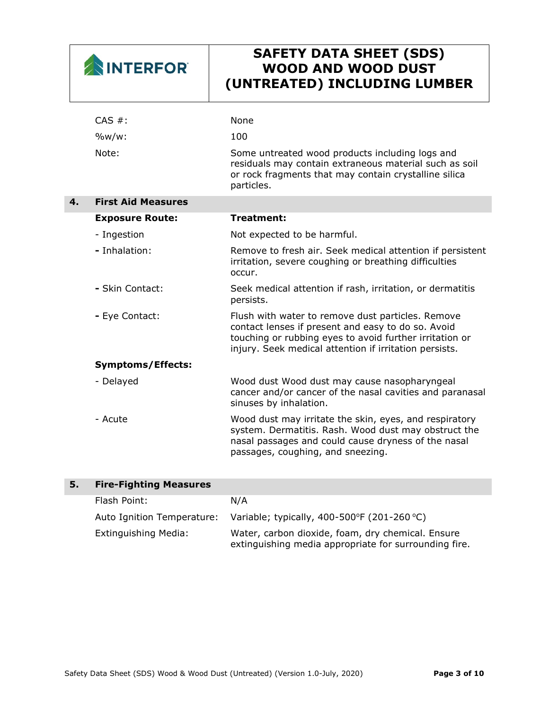| <b>NINTERFOR</b> |
|------------------|
|------------------|

|    | CAS #:                    | <b>None</b>                                                                                                                                                                                                                  |
|----|---------------------------|------------------------------------------------------------------------------------------------------------------------------------------------------------------------------------------------------------------------------|
|    | $\frac{9}{w}$ w/w:        | 100                                                                                                                                                                                                                          |
|    | Note:                     | Some untreated wood products including logs and<br>residuals may contain extraneous material such as soil<br>or rock fragments that may contain crystalline silica<br>particles.                                             |
| 4. | <b>First Aid Measures</b> |                                                                                                                                                                                                                              |
|    | <b>Exposure Route:</b>    | Treatment:                                                                                                                                                                                                                   |
|    | - Ingestion               | Not expected to be harmful.                                                                                                                                                                                                  |
|    | - Inhalation:             | Remove to fresh air. Seek medical attention if persistent<br>irritation, severe coughing or breathing difficulties<br>occur.                                                                                                 |
|    | - Skin Contact:           | Seek medical attention if rash, irritation, or dermatitis<br>persists.                                                                                                                                                       |
|    | - Eye Contact:            | Flush with water to remove dust particles. Remove<br>contact lenses if present and easy to do so. Avoid<br>touching or rubbing eyes to avoid further irritation or<br>injury. Seek medical attention if irritation persists. |
|    | <b>Symptoms/Effects:</b>  |                                                                                                                                                                                                                              |
|    | - Delayed                 | Wood dust Wood dust may cause nasopharyngeal<br>cancer and/or cancer of the nasal cavities and paranasal<br>sinuses by inhalation.                                                                                           |
|    | - Acute                   | Wood dust may irritate the skin, eyes, and respiratory<br>system. Dermatitis. Rash. Wood dust may obstruct the<br>nasal passages and could cause dryness of the nasal<br>passages, coughing, and sneezing.                   |

| 5. | <b>Fire-Fighting Measures</b> |                                                                                                            |
|----|-------------------------------|------------------------------------------------------------------------------------------------------------|
|    | Flash Point:                  | N/A                                                                                                        |
|    | Auto Ignition Temperature:    | Variable; typically, 400-500°F (201-260°C)                                                                 |
|    | <b>Extinguishing Media:</b>   | Water, carbon dioxide, foam, dry chemical. Ensure<br>extinguishing media appropriate for surrounding fire. |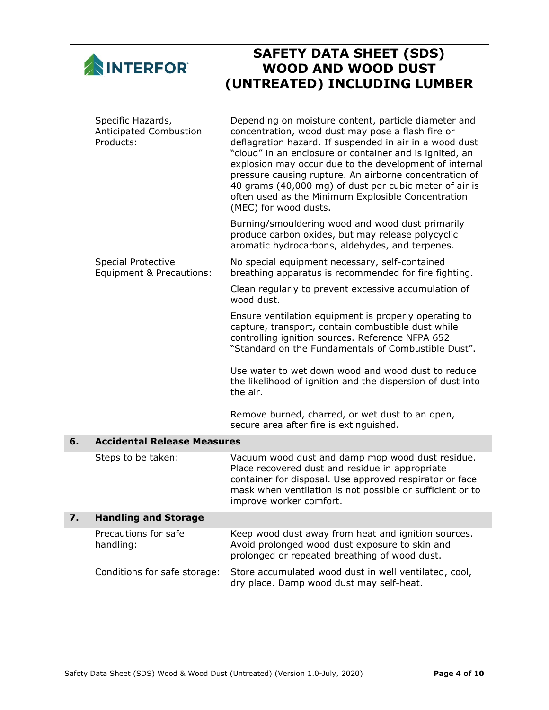| NINTERFORT |
|------------|
|------------|

|    | Specific Hazards,<br>Anticipated Combustion<br>Products: | Depending on moisture content, particle diameter and<br>concentration, wood dust may pose a flash fire or<br>deflagration hazard. If suspended in air in a wood dust<br>"cloud" in an enclosure or container and is ignited, an<br>explosion may occur due to the development of internal<br>pressure causing rupture. An airborne concentration of<br>40 grams (40,000 mg) of dust per cubic meter of air is<br>often used as the Minimum Explosible Concentration<br>(MEC) for wood dusts. |
|----|----------------------------------------------------------|----------------------------------------------------------------------------------------------------------------------------------------------------------------------------------------------------------------------------------------------------------------------------------------------------------------------------------------------------------------------------------------------------------------------------------------------------------------------------------------------|
|    |                                                          | Burning/smouldering wood and wood dust primarily<br>produce carbon oxides, but may release polycyclic<br>aromatic hydrocarbons, aldehydes, and terpenes.                                                                                                                                                                                                                                                                                                                                     |
|    | Special Protective<br>Equipment & Precautions:           | No special equipment necessary, self-contained<br>breathing apparatus is recommended for fire fighting.                                                                                                                                                                                                                                                                                                                                                                                      |
|    |                                                          | Clean regularly to prevent excessive accumulation of<br>wood dust.                                                                                                                                                                                                                                                                                                                                                                                                                           |
|    |                                                          | Ensure ventilation equipment is properly operating to<br>capture, transport, contain combustible dust while<br>controlling ignition sources. Reference NFPA 652<br>"Standard on the Fundamentals of Combustible Dust".                                                                                                                                                                                                                                                                       |
|    |                                                          | Use water to wet down wood and wood dust to reduce<br>the likelihood of ignition and the dispersion of dust into<br>the air.                                                                                                                                                                                                                                                                                                                                                                 |
|    |                                                          | Remove burned, charred, or wet dust to an open,<br>secure area after fire is extinguished.                                                                                                                                                                                                                                                                                                                                                                                                   |
| 6. | <b>Accidental Release Measures</b>                       |                                                                                                                                                                                                                                                                                                                                                                                                                                                                                              |
|    | Steps to be taken:                                       | Vacuum wood dust and damp mop wood dust residue.<br>Place recovered dust and residue in appropriate<br>container for disposal. Use approved respirator or face<br>mask when ventilation is not possible or sufficient or to<br>improve worker comfort.                                                                                                                                                                                                                                       |
| 7. | <b>Handling and Storage</b>                              |                                                                                                                                                                                                                                                                                                                                                                                                                                                                                              |
|    | Precautions for safe<br>handling:                        | Keep wood dust away from heat and ignition sources.<br>Avoid prolonged wood dust exposure to skin and<br>prolonged or repeated breathing of wood dust.                                                                                                                                                                                                                                                                                                                                       |
|    | Conditions for safe storage:                             | Store accumulated wood dust in well ventilated, cool,<br>dry place. Damp wood dust may self-heat.                                                                                                                                                                                                                                                                                                                                                                                            |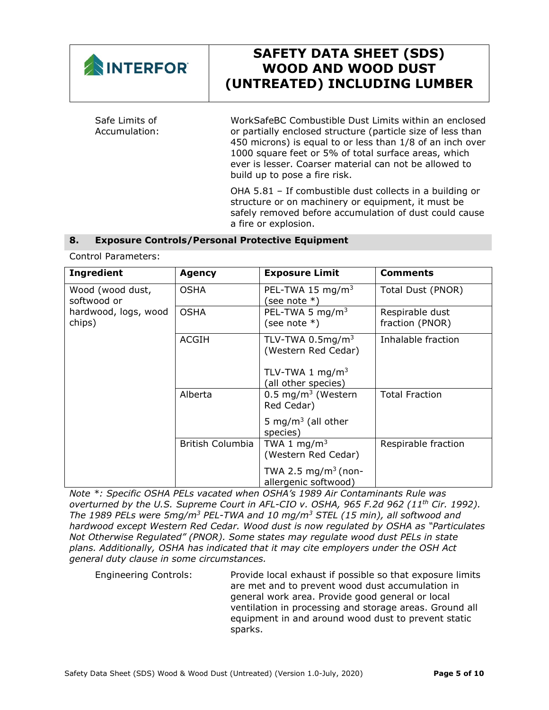

1000 square feet or 5% of total surface areas, which ever is lesser. Coarser material can not be allowed to build up to pose a fire risk.

OHA 5.81 – If combustible dust collects in a building or structure or on machinery or equipment, it must be safely removed before accumulation of dust could cause a fire or explosion.

### **8. Exposure Controls/Personal Protective Equipment**

Control Parameters:

| <b>Ingredient</b>               | <b>Agency</b>           | <b>Exposure Limit</b>                                   | <b>Comments</b>                    |
|---------------------------------|-------------------------|---------------------------------------------------------|------------------------------------|
| Wood (wood dust,<br>softwood or | <b>OSHA</b>             | PEL-TWA 15 mg/m <sup>3</sup><br>(see note *)            | Total Dust (PNOR)                  |
| hardwood, logs, wood<br>chips)  | <b>OSHA</b>             | PEL-TWA 5 mg/m <sup>3</sup><br>(see note $*$ )          | Respirable dust<br>fraction (PNOR) |
|                                 | <b>ACGIH</b>            | TLV-TWA $0.5 \text{mg/m}^3$<br>(Western Red Cedar)      | Inhalable fraction                 |
|                                 |                         | TLV-TWA 1 $mg/m3$<br>(all other species)                |                                    |
|                                 | Alberta                 | $0.5 \,\mathrm{mg/m^3}$ (Western<br>Red Cedar)          | <b>Total Fraction</b>              |
|                                 |                         | 5 mg/m <sup>3</sup> (all other<br>species)              |                                    |
|                                 | <b>British Columbia</b> | TWA 1 $mq/m3$<br>(Western Red Cedar)                    | Respirable fraction                |
|                                 |                         | TWA 2.5 mg/m <sup>3</sup> (non-<br>allergenic softwood) |                                    |

*Note \*: Specific OSHA PELs vacated when OSHA's 1989 Air Contaminants Rule was overturned by the U.S. Supreme Court in AFL-CIO v. OSHA, 965 F.2d 962 (11th Cir. 1992). The 1989 PELs were 5mg/m3 PEL-TWA and 10 mg/m3 STEL (15 min), all softwood and hardwood except Western Red Cedar. Wood dust is now regulated by OSHA as "Particulates Not Otherwise Regulated" (PNOR). Some states may regulate wood dust PELs in state plans. Additionally, OSHA has indicated that it may cite employers under the OSH Act general duty clause in some circumstances.*

Engineering Controls: Provide local exhaust if possible so that exposure limits are met and to prevent wood dust accumulation in general work area. Provide good general or local ventilation in processing and storage areas. Ground all equipment in and around wood dust to prevent static sparks.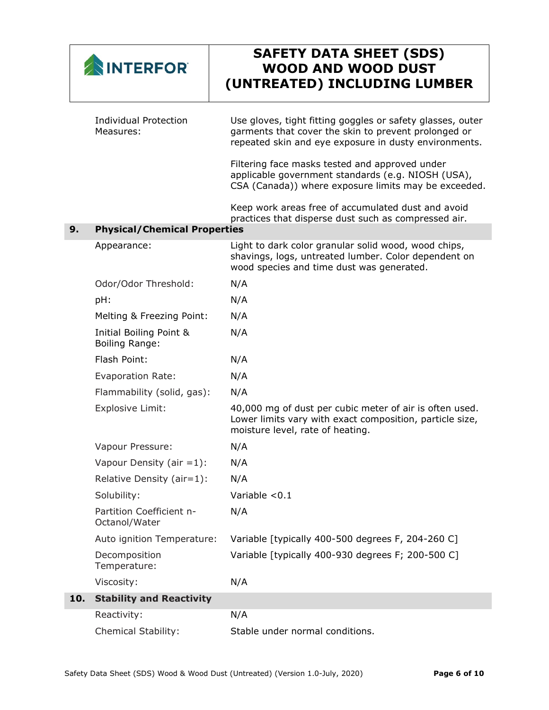|     | <b>INTERFOR</b>                                  | <b>SAFETY DATA SHEET (SDS)</b><br><b>WOOD AND WOOD DUST</b><br>(UNTREATED) INCLUDING LUMBER                                                                                 |
|-----|--------------------------------------------------|-----------------------------------------------------------------------------------------------------------------------------------------------------------------------------|
|     | <b>Individual Protection</b><br>Measures:        | Use gloves, tight fitting goggles or safety glasses, outer<br>garments that cover the skin to prevent prolonged or<br>repeated skin and eye exposure in dusty environments. |
|     |                                                  | Filtering face masks tested and approved under<br>applicable government standards (e.g. NIOSH (USA),<br>CSA (Canada)) where exposure limits may be exceeded.                |
|     |                                                  | Keep work areas free of accumulated dust and avoid<br>practices that disperse dust such as compressed air.                                                                  |
| 9.  | <b>Physical/Chemical Properties</b>              |                                                                                                                                                                             |
|     | Appearance:                                      | Light to dark color granular solid wood, wood chips,<br>shavings, logs, untreated lumber. Color dependent on<br>wood species and time dust was generated.                   |
|     | Odor/Odor Threshold:                             | N/A                                                                                                                                                                         |
|     | pH:                                              | N/A                                                                                                                                                                         |
|     | Melting & Freezing Point:                        | N/A                                                                                                                                                                         |
|     | Initial Boiling Point &<br><b>Boiling Range:</b> | N/A                                                                                                                                                                         |
|     | Flash Point:                                     | N/A                                                                                                                                                                         |
|     | Evaporation Rate:                                | N/A                                                                                                                                                                         |
|     | Flammability (solid, gas):                       | N/A                                                                                                                                                                         |
|     | <b>Explosive Limit:</b>                          | 40,000 mg of dust per cubic meter of air is often used.<br>Lower limits vary with exact composition, particle size,<br>moisture level, rate of heating.                     |
|     | Vapour Pressure:                                 | N/A                                                                                                                                                                         |
|     | Vapour Density (air $=1$ ):                      | N/A                                                                                                                                                                         |
|     | Relative Density (air=1):                        | N/A                                                                                                                                                                         |
|     | Solubility:                                      | Variable $< 0.1$                                                                                                                                                            |
|     | Partition Coefficient n-<br>Octanol/Water        | N/A                                                                                                                                                                         |
|     | Auto ignition Temperature:                       | Variable [typically 400-500 degrees F, 204-260 C]                                                                                                                           |
|     | Decomposition<br>Temperature:                    | Variable [typically 400-930 degrees F; 200-500 C]                                                                                                                           |
|     | Viscosity:                                       | N/A                                                                                                                                                                         |
| 10. | <b>Stability and Reactivity</b>                  |                                                                                                                                                                             |
|     | Reactivity:                                      | N/A                                                                                                                                                                         |
|     | <b>Chemical Stability:</b>                       | Stable under normal conditions.                                                                                                                                             |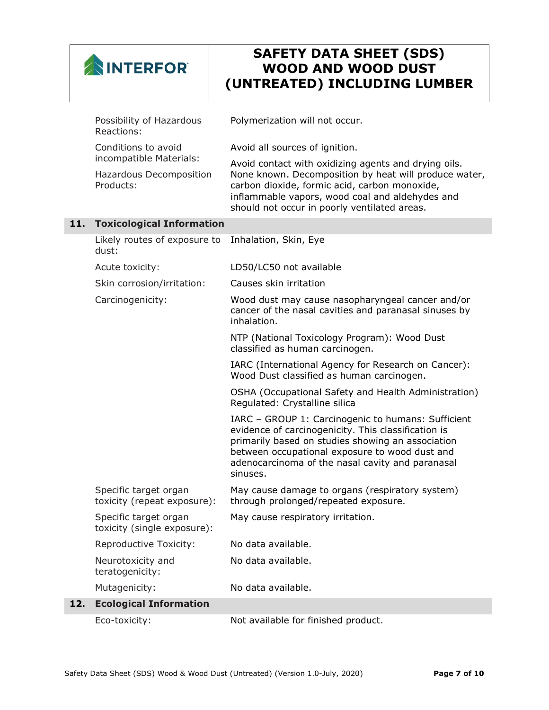

|     | Possibility of Hazardous<br>Reactions:                          | Polymerization will not occur.                                                                                                                                                                                                                                                   |
|-----|-----------------------------------------------------------------|----------------------------------------------------------------------------------------------------------------------------------------------------------------------------------------------------------------------------------------------------------------------------------|
|     | Conditions to avoid                                             | Avoid all sources of ignition.                                                                                                                                                                                                                                                   |
|     | incompatible Materials:<br>Hazardous Decomposition<br>Products: | Avoid contact with oxidizing agents and drying oils.<br>None known. Decomposition by heat will produce water,<br>carbon dioxide, formic acid, carbon monoxide,<br>inflammable vapors, wood coal and aldehydes and<br>should not occur in poorly ventilated areas.                |
| 11. | <b>Toxicological Information</b>                                |                                                                                                                                                                                                                                                                                  |
|     | Likely routes of exposure to<br>dust:                           | Inhalation, Skin, Eye                                                                                                                                                                                                                                                            |
|     | Acute toxicity:                                                 | LD50/LC50 not available                                                                                                                                                                                                                                                          |
|     | Skin corrosion/irritation:                                      | Causes skin irritation                                                                                                                                                                                                                                                           |
|     | Carcinogenicity:                                                | Wood dust may cause nasopharyngeal cancer and/or<br>cancer of the nasal cavities and paranasal sinuses by<br>inhalation.                                                                                                                                                         |
|     |                                                                 | NTP (National Toxicology Program): Wood Dust<br>classified as human carcinogen.                                                                                                                                                                                                  |
|     |                                                                 | IARC (International Agency for Research on Cancer):<br>Wood Dust classified as human carcinogen.                                                                                                                                                                                 |
|     |                                                                 | OSHA (Occupational Safety and Health Administration)<br>Regulated: Crystalline silica                                                                                                                                                                                            |
|     |                                                                 | IARC - GROUP 1: Carcinogenic to humans: Sufficient<br>evidence of carcinogenicity. This classification is<br>primarily based on studies showing an association<br>between occupational exposure to wood dust and<br>adenocarcinoma of the nasal cavity and paranasal<br>sinuses. |
|     | Specific target organ<br>toxicity (repeat exposure):            | May cause damage to organs (respiratory system)<br>through prolonged/repeated exposure.                                                                                                                                                                                          |
|     | Specific target organ<br>toxicity (single exposure):            | May cause respiratory irritation.                                                                                                                                                                                                                                                |
|     | Reproductive Toxicity:                                          | No data available.                                                                                                                                                                                                                                                               |
|     | Neurotoxicity and<br>teratogenicity:                            | No data available.                                                                                                                                                                                                                                                               |
|     | Mutagenicity:                                                   | No data available.                                                                                                                                                                                                                                                               |
| 12. | <b>Ecological Information</b>                                   |                                                                                                                                                                                                                                                                                  |
|     | Eco-toxicity:                                                   | Not available for finished product.                                                                                                                                                                                                                                              |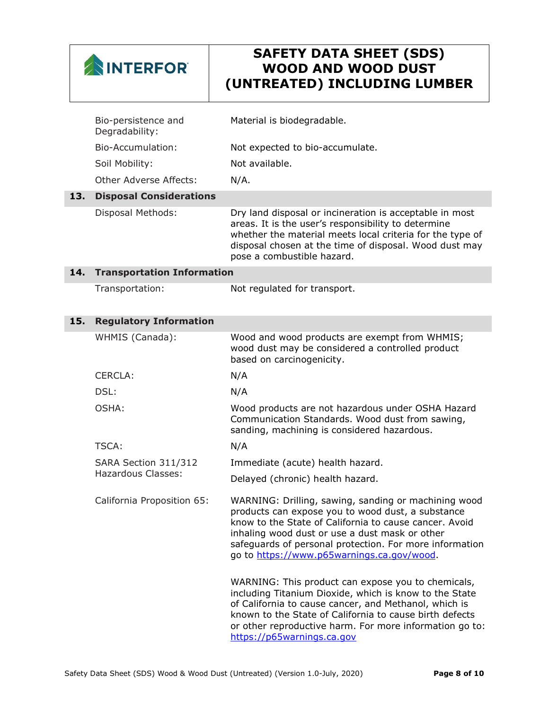

|     | Bio-persistence and<br>Degradability: | Material is biodegradable.                                                                                                                                                                                                                                                                                                     |
|-----|---------------------------------------|--------------------------------------------------------------------------------------------------------------------------------------------------------------------------------------------------------------------------------------------------------------------------------------------------------------------------------|
|     | Bio-Accumulation:                     | Not expected to bio-accumulate.                                                                                                                                                                                                                                                                                                |
|     | Soil Mobility:                        | Not available.                                                                                                                                                                                                                                                                                                                 |
|     | <b>Other Adverse Affects:</b>         | $N/A$ .                                                                                                                                                                                                                                                                                                                        |
| 13. | <b>Disposal Considerations</b>        |                                                                                                                                                                                                                                                                                                                                |
|     | Disposal Methods:                     | Dry land disposal or incineration is acceptable in most<br>areas. It is the user's responsibility to determine<br>whether the material meets local criteria for the type of<br>disposal chosen at the time of disposal. Wood dust may<br>pose a combustible hazard.                                                            |
| 14. | <b>Transportation Information</b>     |                                                                                                                                                                                                                                                                                                                                |
|     | Transportation:                       | Not regulated for transport.                                                                                                                                                                                                                                                                                                   |
| 15. | <b>Regulatory Information</b>         |                                                                                                                                                                                                                                                                                                                                |
|     | WHMIS (Canada):                       | Wood and wood products are exempt from WHMIS;<br>wood dust may be considered a controlled product<br>based on carcinogenicity.                                                                                                                                                                                                 |
|     | <b>CERCLA:</b>                        | N/A                                                                                                                                                                                                                                                                                                                            |
|     | DSL:                                  | N/A                                                                                                                                                                                                                                                                                                                            |
|     | OSHA:                                 | Wood products are not hazardous under OSHA Hazard<br>Communication Standards. Wood dust from sawing,<br>sanding, machining is considered hazardous.                                                                                                                                                                            |
|     | <b>TSCA:</b>                          | N/A                                                                                                                                                                                                                                                                                                                            |
|     | SARA Section 311/312                  | Immediate (acute) health hazard.                                                                                                                                                                                                                                                                                               |
|     | <b>Hazardous Classes:</b>             | Delayed (chronic) health hazard.                                                                                                                                                                                                                                                                                               |
|     | California Proposition 65:            | WARNING: Drilling, sawing, sanding or machining wood<br>products can expose you to wood dust, a substance<br>know to the State of California to cause cancer. Avoid<br>inhaling wood dust or use a dust mask or other<br>safeguards of personal protection. For more information<br>go to https://www.p65warnings.ca.gov/wood. |
|     |                                       | WARNING: This product can expose you to chemicals,<br>including Titanium Dioxide, which is know to the State                                                                                                                                                                                                                   |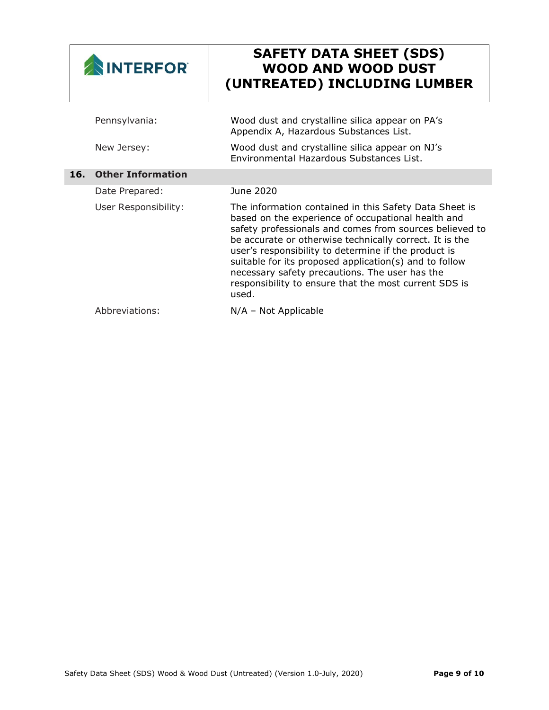| <b>INTERFORT</b> |                          | <b>SAFETY DATA SHEET (SDS)</b><br><b>WOOD AND WOOD DUST</b><br>(UNTREATED) INCLUDING LUMBER                                                                                                                                                                                                                                                                                                                                                                              |
|------------------|--------------------------|--------------------------------------------------------------------------------------------------------------------------------------------------------------------------------------------------------------------------------------------------------------------------------------------------------------------------------------------------------------------------------------------------------------------------------------------------------------------------|
|                  | Pennsylvania:            | Wood dust and crystalline silica appear on PA's<br>Appendix A, Hazardous Substances List.                                                                                                                                                                                                                                                                                                                                                                                |
|                  | New Jersey:              | Wood dust and crystalline silica appear on NJ's<br>Environmental Hazardous Substances List.                                                                                                                                                                                                                                                                                                                                                                              |
| 16.              | <b>Other Information</b> |                                                                                                                                                                                                                                                                                                                                                                                                                                                                          |
|                  | Date Prepared:           | June 2020                                                                                                                                                                                                                                                                                                                                                                                                                                                                |
|                  | User Responsibility:     | The information contained in this Safety Data Sheet is<br>based on the experience of occupational health and<br>safety professionals and comes from sources believed to<br>be accurate or otherwise technically correct. It is the<br>user's responsibility to determine if the product is<br>suitable for its proposed application(s) and to follow<br>necessary safety precautions. The user has the<br>responsibility to ensure that the most current SDS is<br>used. |
|                  | Abbreviations:           | $N/A$ – Not Applicable                                                                                                                                                                                                                                                                                                                                                                                                                                                   |